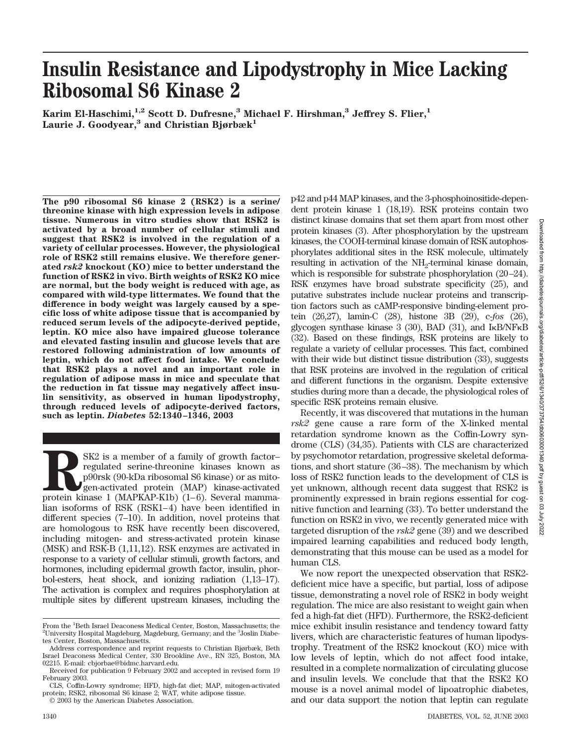# **Insulin Resistance and Lipodystrophy in Mice Lacking Ribosomal S6 Kinase 2**

Karim El-Haschimi,<sup>1,2</sup> Scott D. Dufresne,<sup>3</sup> Michael F. Hirshman,<sup>3</sup> Jeffrey S. Flier,<sup>1</sup> Laurie J. Goodyear,<sup>3</sup> and Christian Bjørbæk<sup>1</sup>

**The p90 ribosomal S6 kinase 2 (RSK2) is a serine/ threonine kinase with high expression levels in adipose tissue. Numerous in vitro studies show that RSK2 is activated by a broad number of cellular stimuli and suggest that RSK2 is involved in the regulation of a variety of cellular processes. However, the physiological role of RSK2 still remains elusive. We therefore generated** *rsk2* **knockout (KO) mice to better understand the function of RSK2 in vivo. Birth weights of RSK2 KO mice are normal, but the body weight is reduced with age, as compared with wild-type littermates. We found that the difference in body weight was largely caused by a specific loss of white adipose tissue that is accompanied by reduced serum levels of the adipocyte-derived peptide, leptin. KO mice also have impaired glucose tolerance and elevated fasting insulin and glucose levels that are restored following administration of low amounts of leptin, which do not affect food intake. We conclude that RSK2 plays a novel and an important role in regulation of adipose mass in mice and speculate that the reduction in fat tissue may negatively affect insulin sensitivity, as observed in human lipodystrophy, through reduced levels of adipocyte-derived factors, such as leptin.** *Diabetes* **52:1340–1346, 2003**

SK2 is a member of a family of growth factor–<br>
regulated serine-threonine kinases known as<br>
p<sup>90</sup>rsk (90-kDa ribosomal S6 kinase) or as mito-<br>
gen-activated protein (MAP) kinase-activated<br>
protein kinase 1 (MAPKAP-K1b) (1– regulated serine-threonine kinases known as p90rsk (90-kDa ribosomal S6 kinase) or as mitogen-activated protein (MAP) kinase-activated lian isoforms of RSK (RSK1–4) have been identified in different species (7–10). In addition, novel proteins that are homologous to RSK have recently been discovered, including mitogen- and stress-activated protein kinase (MSK) and RSK-B (1,11,12). RSK enzymes are activated in response to a variety of cellular stimuli, growth factors, and hormones, including epidermal growth factor, insulin, phorbol-esters, heat shock, and ionizing radiation (1,13–17). The activation is complex and requires phosphorylation at multiple sites by different upstream kinases, including the

p42 and p44 MAP kinases, and the 3-phosphoinositide-dependent protein kinase 1 (18,19). RSK proteins contain two distinct kinase domains that set them apart from most other protein kinases (3). After phosphorylation by the upstream kinases, the COOH-terminal kinase domain of RSK autophosphorylates additional sites in the RSK molecule, ultimately resulting in activation of the NH<sub>2</sub>-terminal kinase domain, which is responsible for substrate phosphorylation (20–24). RSK enzymes have broad substrate specificity (25), and putative substrates include nuclear proteins and transcription factors such as cAMP-responsive binding-element protein (26,27), lamin-C (28), histone 3B (29), c-*fos* (26), glycogen synthase kinase  $3$  (30), BAD (31), and  $I_{\kappa}B/NF_{\kappa}B$ (32). Based on these findings, RSK proteins are likely to regulate a variety of cellular processes. This fact, combined with their wide but distinct tissue distribution  $(33)$ , suggests that RSK proteins are involved in the regulation of critical and different functions in the organism. Despite extensive studies during more than a decade, the physiological roles of specific RSK proteins remain elusive.

Recently, it was discovered that mutations in the human *rsk2* gene cause a rare form of the X-linked mental retardation syndrome known as the Coffin-Lowry syndrome (CLS) (34,35). Patients with CLS are characterized by psychomotor retardation, progressive skeletal deformations, and short stature (36–38). The mechanism by which loss of RSK2 function leads to the development of CLS is yet unknown, although recent data suggest that RSK2 is prominently expressed in brain regions essential for cognitive function and learning (33). To better understand the function on RSK2 in vivo, we recently generated mice with targeted disruption of the *rsk2* gene (39) and we described impaired learning capabilities and reduced body length, demonstrating that this mouse can be used as a model for human CLS.

We now report the unexpected observation that RSK2 deficient mice have a specific, but partial, loss of adipose tissue, demonstrating a novel role of RSK2 in body weight regulation. The mice are also resistant to weight gain when fed a high-fat diet (HFD). Furthermore, the RSK2-deficient mice exhibit insulin resistance and tendency toward fatty livers, which are characteristic features of human lipodystrophy. Treatment of the RSK2 knockout (KO) mice with low levels of leptin, which do not affect food intake, resulted in a complete normalization of circulating glucose and insulin levels. We conclude that that the RSK2 KO mouse is a novel animal model of lipoatrophic diabetes, and our data support the notion that leptin can regulate

From the <sup>1</sup>Beth Israel Deaconess Medical Center, Boston, Massachusetts; the <sup>2</sup>University Hospital Magdeburg, Magdeburg, Germany, and the <sup>3</sup>Loslin Diabe-University Hospital Magdeburg, Magdeburg, Germany; and the <sup>3</sup>Joslin Diabetes Center, Boston, Massachusetts.

Address correspondence and reprint requests to Christian Bjørbæk, Beth Israel Deaconess Medical Center, 330 Brookline Ave., RN 325, Boston, MA 02215. E-mail: cbjorbae@bidmc.harvard.edu.

Received for publication 9 February 2002 and accepted in revised form 19 February 2003.

CLS, Coffin-Lowry syndrome; HFD, high-fat diet; MAP, mitogen-activated protein; RSK2, ribosomal S6 kinase 2; WAT, white adipose tissue.

<sup>© 2003</sup> by the American Diabetes Association.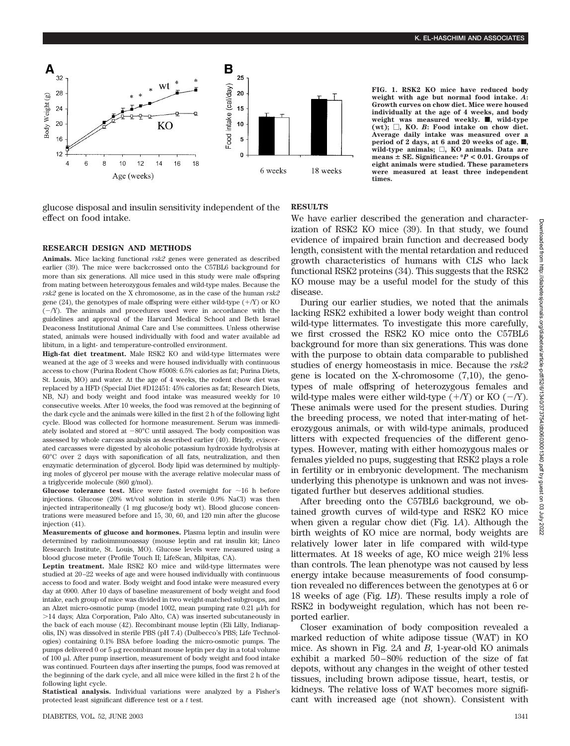

glucose disposal and insulin sensitivity independent of the effect on food intake.

#### **RESEARCH DESIGN AND METHODS**

**Animals.** Mice lacking functional *rsk2* genes were generated as described earlier (39). The mice were backcrossed onto the C57BL6 background for more than six generations. All mice used in this study were male offspring from mating between heterozygous females and wild-type males. Because the *rsk2* gene is located on the X chromosome, as in the case of the human *rsk2* gene  $(24)$ , the genotypes of male offspring were either wild-type  $(+/Y)$  or KO  $(-/Y)$ . The animals and procedures used were in accordance with the guidelines and approval of the Harvard Medical School and Beth Israel Deaconess Institutional Animal Care and Use committees. Unless otherwise stated, animals were housed individually with food and water available ad libitum, in a light- and temperature-controlled environment.

**High-fat diet treatment.** Male RSK2 KO and wild-type littermates were weaned at the age of 3 weeks and were housed individually with continuous access to chow (Purina Rodent Chow #5008: 6.5% calories as fat; Purina Diets, St. Louis, MO) and water. At the age of 4 weeks, the rodent chow diet was replaced by a HFD (Special Diet #D12451: 45% calories as fat; Research Diets, NB, NJ) and body weight and food intake was measured weekly for 10 consecutive weeks. After 10 weeks, the food was removed at the beginning of the dark cycle and the animals were killed in the first 2 h of the following light cycle. Blood was collected for hormone measurement. Serum was immediately isolated and stored at  $-80^{\circ}$ C until assayed. The body composition was assessed by whole carcass analysis as described earlier (40). Briefly, eviscerated carcasses were digested by alcoholic potassium hydroxide hydrolysis at 60°C over 2 days with saponification of all fats, neutralization, and then enzymatic determination of glycerol. Body lipid was determined by multiplying moles of glycerol per mouse with the average relative molecular mass of a triglyceride molecule (860 g/mol).

**Glucose tolerance test.** Mice were fasted overnight for  $\sim$ 16 h before injections. Glucose (20% wt/vol solution in sterile 0.9% NaCl) was then injected intraperitoneally (1 mg glucose/g body wt). Blood glucose concentrations were measured before and 15, 30, 60, and 120 min after the glucose injection  $(41)$ .

**Measurements of glucose and hormones.** Plasma leptin and insulin were determined by radioimmunoassay (mouse leptin and rat insulin kit; Linco Research Institute, St. Louis, MO). Glucose levels were measured using a blood glucose meter (Profile Touch II; LifeScan, Milpitas, CA).

**Leptin treatment.** Male RSK2 KO mice and wild-type littermates were studied at 20–22 weeks of age and were housed individually with continuous access to food and water. Body weight and food intake were measured every day at 0900. After 10 days of baseline measurement of body weight and food intake, each group of mice was divided in two weight-matched subgroups, and an Alzet micro-osmotic pump (model 1002, mean pumping rate  $0.21 \mu$ I/h for 14 days; Alza Corporation, Palo Alto, CA) was inserted subcutaneously in the back of each mouse (42). Recombinant mouse leptin (Eli Lilly, Indianapolis, IN) was dissolved in sterile PBS (pH 7.4) (Dulbecco's PBS; Life Technologies) containing 0.1% BSA before loading the micro-osmotic pumps. The pumps delivered 0 or  $5 \mu$ g recombinant mouse leptin per day in a total volume of  $100 \mu$ . After pump insertion, measurement of body weight and food intake was continued. Fourteen days after inserting the pumps, food was removed at the beginning of the dark cycle, and all mice were killed in the first 2 h of the following light cycle.

**Statistical analysis.** Individual variations were analyzed by a Fisher's protected least significant difference test or a *t* test.

**weight with age but normal food intake.** *A***: Growth curves on chow diet. Mice were housed individually at the age of 4 weeks, and body** weight was measured weekly.  $\blacksquare$ , wild-type **(wt); , KO.** *B***: Food intake on chow diet. Average daily intake was measured over a** period of 2 days, at 6 and 20 weeks of age.  $\blacksquare$ , **wild-type animals; , KO animals. Data are**  $means \pm SE$ . Significance:  $P < 0.01$ . Groups of **eight animals were studied. These parameters were measured at least three independent times.**

## **RESULTS**

We have earlier described the generation and characterization of RSK2 KO mice (39). In that study, we found evidence of impaired brain function and decreased body length, consistent with the mental retardation and reduced growth characteristics of humans with CLS who lack functional RSK2 proteins (34). This suggests that the RSK2 KO mouse may be a useful model for the study of this disease.

During our earlier studies, we noted that the animals lacking RSK2 exhibited a lower body weight than control wild-type littermates. To investigate this more carefully, we first crossed the RSK2 KO mice onto the C57BL6 background for more than six generations. This was done with the purpose to obtain data comparable to published studies of energy homeostasis in mice. Because the *rsk2* gene is located on the X-chromosome  $(7,10)$ , the genotypes of male offspring of heterozygous females and wild-type males were either wild-type  $(+/Y)$  or KO  $(-/Y)$ . These animals were used for the present studies. During the breeding process, we noted that inter-mating of heterozygous animals, or with wild-type animals, produced litters with expected frequencies of the different genotypes. However, mating with either homozygous males or females yielded no pups, suggesting that RSK2 plays a role in fertility or in embryonic development. The mechanism underlying this phenotype is unknown and was not investigated further but deserves additional studies.

After breeding onto the C57BL6 background, we obtained growth curves of wild-type and RSK2 KO mice when given a regular chow diet (Fig. 1*A*). Although the birth weights of KO mice are normal, body weights are relatively lower later in life compared with wild-type littermates. At 18 weeks of age, KO mice weigh 21% less than controls. The lean phenotype was not caused by less energy intake because measurements of food consumption revealed no differences between the genotypes at 6 or 18 weeks of age (Fig. 1*B*). These results imply a role of RSK2 in bodyweight regulation, which has not been reported earlier.

Closer examination of body composition revealed a marked reduction of white adipose tissue (WAT) in KO mice. As shown in Fig. 2*A* and *B*, 1-year-old KO animals exhibit a marked 50–80% reduction of the size of fat depots, without any changes in the weight of other tested tissues, including brown adipose tissue, heart, testis, or kidneys. The relative loss of WAT becomes more significant with increased age (not shown). Consistent with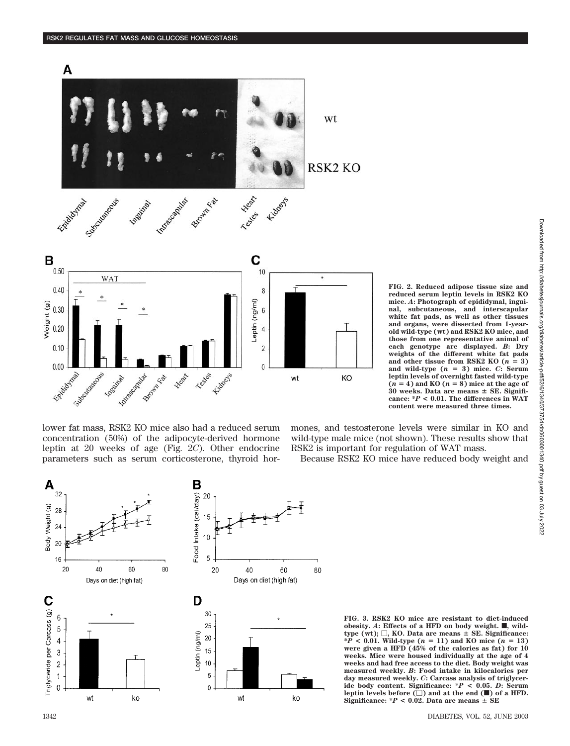

lower fat mass, RSK2 KO mice also had a reduced serum concentration (50%) of the adipocyte-derived hormone leptin at 20 weeks of age (Fig. 2*C*). Other endocrine parameters such as serum corticosterone, thyroid hor**FIG. 2. Reduced adipose tissue size and reduced serum leptin levels in RSK2 KO mice.** *A***: Photograph of epididymal, inguinal, subcutaneous, and interscapular white fat pads, as well as other tissues and organs, were dissected from 1-yearold wild-type (wt) and RSK2 KO mice, and those from one representative animal of each genotype are displayed.** *B***: Dry weights of the different white fat pads** and other tissue from RSK2 KO  $(n = 3)$ **and wild-type (***n* - **3) mice.** *C***: Serum leptin levels of overnight fasted wild-type**  $(n = 4)$  and KO  $(n = 8)$  mice at the age of **30 weeks. Data are means SE. Significance: \****P* **< 0.01. The differences in WAT content were measured three times.**

mones, and testosterone levels were similar in KO and wild-type male mice (not shown). These results show that RSK2 is important for regulation of WAT mass.

Because RSK2 KO mice have reduced body weight and



**FIG. 3. RSK2 KO mice are resistant to diet-induced obesity.** *A*: Effects of a HFD on body weight.  $\blacksquare$ , wild $type (wt);$   $\Box$ , KO. Data are means  $\pm$  SE. Significance:  $*P < 0.01$ . Wild-type ( $n = 11$ ) and KO mice ( $n = 13$ ) **were given a HFD (45% of the calories as fat) for 10 weeks. Mice were housed individually at the age of 4 weeks and had free access to the diet. Body weight was measured weekly.** *B***: Food intake in kilocalories per day measured weekly.** *C***: Carcass analysis of triglyceride body content. Significance: \****P* **< 0.05.** *D***: Serum** leptin levels before  $(\Box)$  and at the end  $(\blacksquare)$  of a HFD. Significance:  $*P < 0.02$ . Data are means  $\pm$  SE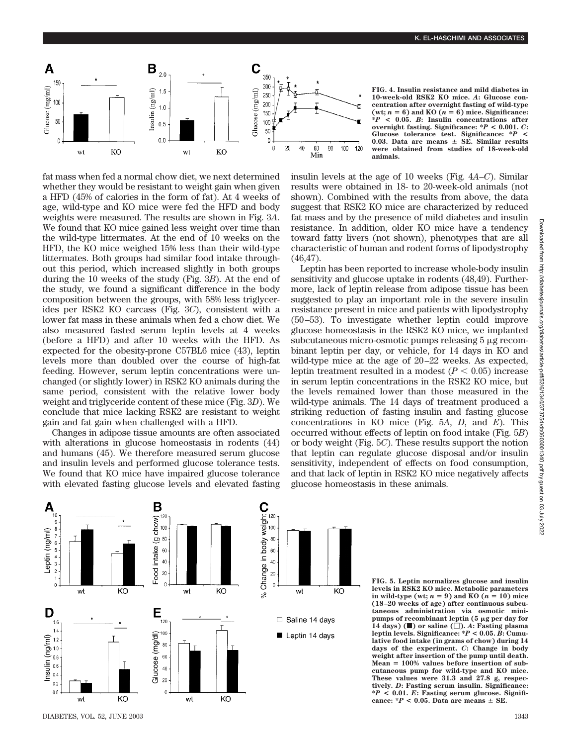

fat mass when fed a normal chow diet, we next determined whether they would be resistant to weight gain when given a HFD (45% of calories in the form of fat). At 4 weeks of age, wild-type and KO mice were fed the HFD and body weights were measured. The results are shown in Fig. 3*A*. We found that KO mice gained less weight over time than the wild-type littermates. At the end of 10 weeks on the HFD, the KO mice weighed 15% less than their wild-type littermates. Both groups had similar food intake throughout this period, which increased slightly in both groups during the 10 weeks of the study (Fig. 3*B*). At the end of the study, we found a significant difference in the body composition between the groups, with 58% less triglycerides per RSK2 KO carcass (Fig. 3*C*), consistent with a lower fat mass in these animals when fed a chow diet. We also measured fasted serum leptin levels at 4 weeks (before a HFD) and after 10 weeks with the HFD. As expected for the obesity-prone C57BL6 mice (43), leptin levels more than doubled over the course of high-fat feeding. However, serum leptin concentrations were unchanged (or slightly lower) in RSK2 KO animals during the same period, consistent with the relative lower body weight and triglyceride content of these mice (Fig. 3*D*). We conclude that mice lacking RSK2 are resistant to weight gain and fat gain when challenged with a HFD.

Changes in adipose tissue amounts are often associated with alterations in glucose homeostasis in rodents (44) and humans (45). We therefore measured serum glucose and insulin levels and performed glucose tolerance tests. We found that KO mice have impaired glucose tolerance with elevated fasting glucose levels and elevated fasting **FIG. 4. Insulin resistance and mild diabetes in 10-week-old RSK2 KO mice.** *A***: Glucose concentration after overnight fasting of wild-type**  $(wt; n = 6)$  and KO  $(n = 6)$  mice. Significance: **\****P* **< 0.05.** *B***: Insulin concentrations after overnight fasting. Significance: \****P* **< 0.001.** *C***: Glucose tolerance test. Significance: \****P* **< 0.03. Data are means SE. Similar results were obtained from studies of 18-week-old animals.**

insulin levels at the age of 10 weeks (Fig. 4*A*–*C*). Similar results were obtained in 18- to 20-week-old animals (not shown). Combined with the results from above, the data suggest that RSK2 KO mice are characterized by reduced fat mass and by the presence of mild diabetes and insulin resistance. In addition, older KO mice have a tendency toward fatty livers (not shown), phenotypes that are all characteristic of human and rodent forms of lipodystrophy (46,47).

Leptin has been reported to increase whole-body insulin sensitivity and glucose uptake in rodents (48,49). Furthermore, lack of leptin release from adipose tissue has been suggested to play an important role in the severe insulin resistance present in mice and patients with lipodystrophy (50–53). To investigate whether leptin could improve glucose homeostasis in the RSK2 KO mice, we implanted subcutaneous micro-osmotic pumps releasing  $5 \mu$ g recombinant leptin per day, or vehicle, for 14 days in KO and wild-type mice at the age of 20–22 weeks. As expected, leptin treatment resulted in a modest  $(P < 0.05)$  increase in serum leptin concentrations in the RSK2 KO mice, but the levels remained lower than those measured in the wild-type animals. The 14 days of treatment produced a striking reduction of fasting insulin and fasting glucose concentrations in KO mice (Fig. 5*A*, *D*, and *E*). This occurred without effects of leptin on food intake (Fig. 5*B*) or body weight (Fig. 5*C*). These results support the notion that leptin can regulate glucose disposal and/or insulin sensitivity, independent of effects on food consumption, and that lack of leptin in RSK2 KO mice negatively affects glucose homeostasis in these animals.



**FIG. 5. Leptin normalizes glucose and insulin levels in RSK2 KO mice. Metabolic parameters**  $\text{in wild-type (wt; } n = 9) \text{ and KO } (n = 10) \text{ mice}$ **(18–20 weeks of age) after continuous subcutaneous administration via osmotic mini**pumps of recombinant leptin (5  $\mu$ g per day for  $(14 \text{ days})$  ( $\blacksquare$ ) or saline  $(\square)$ . *A*: Fasting plasma leptin levels. Significance:  ${}^*P$  < 0.05. *B*: Cumu**lative food intake (in grams of chow) during 14 days of the experiment.** *C***: Change in body weight after insertion of the pump until death. Mean** - **100% values before insertion of subcutaneous pump for wild-type and KO mice. These values were 31.3 and 27.8 g, respectively.** *D***: Fasting serum insulin. Significance: \****P* **< 0.01.** *E***: Fasting serum glucose. Signifi**cance:  $*P < 0.05$ . Data are means  $\pm$  SE.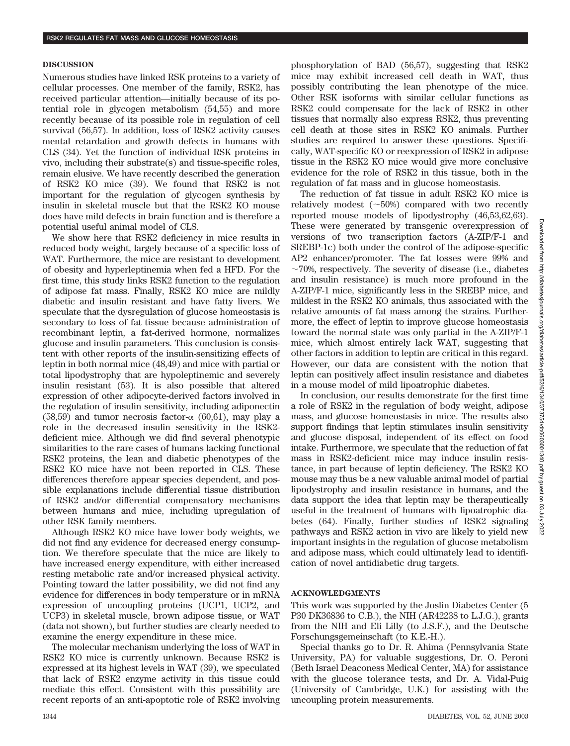## **DISCUSSION**

Numerous studies have linked RSK proteins to a variety of cellular processes. One member of the family, RSK2, has received particular attention—initially because of its potential role in glycogen metabolism (54,55) and more recently because of its possible role in regulation of cell survival (56,57). In addition, loss of RSK2 activity causes mental retardation and growth defects in humans with CLS (34). Yet the function of individual RSK proteins in vivo, including their substrate(s) and tissue-specific roles, remain elusive. We have recently described the generation of RSK2 KO mice (39). We found that RSK2 is not important for the regulation of glycogen synthesis by insulin in skeletal muscle but that the RSK2 KO mouse does have mild defects in brain function and is therefore a potential useful animal model of CLS.

We show here that RSK2 deficiency in mice results in reduced body weight, largely because of a specific loss of WAT. Furthermore, the mice are resistant to development of obesity and hyperleptinemia when fed a HFD. For the first time, this study links RSK2 function to the regulation of adipose fat mass. Finally, RSK2 KO mice are mildly diabetic and insulin resistant and have fatty livers. We speculate that the dysregulation of glucose homeostasis is secondary to loss of fat tissue because administration of recombinant leptin, a fat-derived hormone, normalizes glucose and insulin parameters. This conclusion is consistent with other reports of the insulin-sensitizing effects of leptin in both normal mice (48,49) and mice with partial or total lipodystrophy that are hypoleptinemic and severely insulin resistant (53). It is also possible that altered expression of other adipocyte-derived factors involved in the regulation of insulin sensitivity, including adiponectin (58,59) and tumor necrosis factor- $\alpha$  (60,61), may play a role in the decreased insulin sensitivity in the RSK2 deficient mice. Although we did find several phenotypic similarities to the rare cases of humans lacking functional RSK2 proteins, the lean and diabetic phenotypes of the RSK2 KO mice have not been reported in CLS. These differences therefore appear species dependent, and possible explanations include differential tissue distribution of RSK2 and/or differential compensatory mechanisms between humans and mice, including upregulation of other RSK family members.

Although RSK2 KO mice have lower body weights, we did not find any evidence for decreased energy consumption. We therefore speculate that the mice are likely to have increased energy expenditure, with either increased resting metabolic rate and/or increased physical activity. Pointing toward the latter possibility, we did not find any evidence for differences in body temperature or in mRNA expression of uncoupling proteins (UCP1, UCP2, and UCP3) in skeletal muscle, brown adipose tissue, or WAT (data not shown), but further studies are clearly needed to examine the energy expenditure in these mice.

The molecular mechanism underlying the loss of WAT in RSK2 KO mice is currently unknown. Because RSK2 is expressed at its highest levels in WAT (39), we speculated that lack of RSK2 enzyme activity in this tissue could mediate this effect. Consistent with this possibility are recent reports of an anti-apoptotic role of RSK2 involving phosphorylation of BAD (56,57), suggesting that RSK2 mice may exhibit increased cell death in WAT, thus possibly contributing the lean phenotype of the mice. Other RSK isoforms with similar cellular functions as RSK2 could compensate for the lack of RSK2 in other tissues that normally also express RSK2, thus preventing cell death at those sites in RSK2 KO animals. Further studies are required to answer these questions. Specifically, WAT-specific KO or reexpression of RSK2 in adipose tissue in the RSK2 KO mice would give more conclusive evidence for the role of RSK2 in this tissue, both in the regulation of fat mass and in glucose homeostasis.

The reduction of fat tissue in adult RSK2 KO mice is relatively modest  $(\sim 50\%)$  compared with two recently reported mouse models of lipodystrophy (46,53,62,63). These were generated by transgenic overexpression of versions of two transcription factors (A-ZIP/F-1 and SREBP-1c) both under the control of the adipose-specific AP2 enhancer/promoter. The fat losses were 99% and  $\sim$ 70%, respectively. The severity of disease (i.e., diabetes and insulin resistance) is much more profound in the A-ZIP/F-1 mice, significantly less in the SREBP mice, and mildest in the RSK2 KO animals, thus associated with the relative amounts of fat mass among the strains. Furthermore, the effect of leptin to improve glucose homeostasis toward the normal state was only partial in the A-ZIP/F-1 mice, which almost entirely lack WAT, suggesting that other factors in addition to leptin are critical in this regard. However, our data are consistent with the notion that leptin can positively affect insulin resistance and diabetes in a mouse model of mild lipoatrophic diabetes.

In conclusion, our results demonstrate for the first time a role of RSK2 in the regulation of body weight, adipose mass, and glucose homeostasis in mice. The results also support findings that leptin stimulates insulin sensitivity and glucose disposal, independent of its effect on food intake. Furthermore, we speculate that the reduction of fat mass in RSK2-deficient mice may induce insulin resistance, in part because of leptin deficiency. The RSK2 KO mouse may thus be a new valuable animal model of partial lipodystrophy and insulin resistance in humans, and the data support the idea that leptin may be therapeutically useful in the treatment of humans with lipoatrophic diabetes (64). Finally, further studies of RSK2 signaling pathways and RSK2 action in vivo are likely to yield new important insights in the regulation of glucose metabolism and adipose mass, which could ultimately lead to identification of novel antidiabetic drug targets.

## **ACKNOWLEDGMENTS**

This work was supported by the Joslin Diabetes Center (5 P30 DK36836 to C.B.), the NIH (AR42238 to L.J.G.), grants from the NIH and Eli Lilly (to J.S.F.), and the Deutsche Forschungsgemeinschaft (to K.E.-H.).

Special thanks go to Dr. R. Ahima (Pennsylvania State University, PA) for valuable suggestions, Dr. O. Peroni (Beth Israel Deaconess Medical Center, MA) for assistance with the glucose tolerance tests, and Dr. A. Vidal-Puig (University of Cambridge, U.K.) for assisting with the uncoupling protein measurements.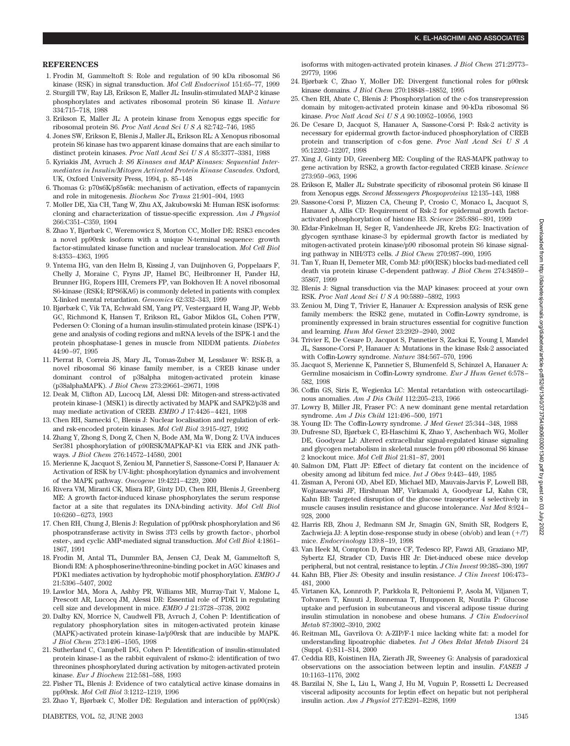#### **REFERENCES**

- 1. Frodin M, Gammeltoft S: Role and regulation of 90 kDa ribosomal S6 kinase (RSK) in signal transduction. *Mol Cell Endocrinol* 151:65–77, 1999
- 2. Sturgill TW, Ray LB, Erikson E, Maller JL: Insulin-stimulated MAP-2 kinase phosphorylates and activates ribosomal protein S6 kinase II. *Nature* 334:715–718, 1988
- 3. Erikson E, Maller JL: A protein kinase from Xenopus eggs specific for ribosomal protein S6. *Proc Natl Acad SciUSA* 82:742–746, 1985
- 4. Jones SW, Erikson E, Blenis J, Maller JL, Erikson RL: A Xenopus ribosomal protein S6 kinase has two apparent kinase domains that are each similar to distinct protein kinases. *Proc Natl Acad SciUSA* 85:3377–3381, 1988
- 5. Kyriakis JM, Avruch J: *S6 Kinases and MAP Kinases: Sequential Intermediates in Insulin/Mitogen Activated Protein Kinase Cascades.* Oxford, UK, Oxford University Press, 1994, p. 85–148
- 6. Thomas G: p70s6K/p85s6k: mechanism of activation, effects of rapamycin and role in mitogenesis. *Biochem Soc Trans* 21:901–904, 1993
- 7. Moller DE, Xia CH, Tang W, Zhu AX, Jakubowski M: Human RSK isoforms: cloning and characterization of tissue-specific expression. *Am J Physiol* 266:C351–C359, 1994
- 8. Zhao Y, Bjørbæk C, Weremowicz S, Morton CC, Moller DE: RSK3 encodes a novel pp90rsk isoform with a unique N-terminal sequence: growth factor-stimulated kinase function and nuclear translocation. *Mol Cell Biol* 8:4353–4363, 1995
- 9. Yntema HG, van den Helm B, Kissing J, van Duijnhoven G, Poppelaars F, Chelly J, Moraine C, Fryns JP, Hamel BC, Heilbronner H, Pander HJ, Brunner HG, Ropers HH, Cremers FP, van Bokhoven H: A novel ribosomal S6-kinase (RSK4; RPS6KA6) is commonly deleted in patients with complex X-linked mental retardation. *Genomics* 62:332–343, 1999
- 10. Bjørbæk C, Vik TA, Echwald SM, Yang PY, Vestergaard H, Wang JP, Webb GC, Richmond K, Hansen T, Erikson RL, Gabor Miklos GL, Cohen PTW, Pedersen O: Cloning of a human insulin-stimulated protein kinase (ISPK-1) gene and analysis of coding regions and mRNA levels of the ISPK-1 and the protein phosphatase-1 genes in muscle from NIDDM patients. *Diabetes* 44:90–97, 1995
- 11. Pierrat B, Correia JS, Mary JL, Tomas-Zuber M, Lesslauer W: RSK-B, a novel ribosomal S6 kinase family member, is a CREB kinase under dominant control of p38alpha mitogen-activated protein kinase (p38alphaMAPK). *J Biol Chem* 273:29661–29671, 1998
- 12. Deak M, Clifton AD, Lucocq LM, Alessi DR: Mitogen-and stress-activated protein kinase-1 (MSK1) is directly activated by MAPK and SAPK2/p38 and may mediate activation of CREB*. EMBO J* 17:4426–4421, 1998
- 13. Chen RH, Sarnecki C, Blenis J: Nuclear localisation and regulation of erkand rsk-encoded protein kinases. *Mol Cell Biol* 3:915–927, 1992
- 14. Zhang Y, Zhong S, Dong Z, Chen N, Bode AM, Ma W, Dong Z: UVA induces Ser381 phosphorylation of p90RSK/MAPKAP-K1 via ERK and JNK pathways. *J Biol Chem* 276:14572–14580, 2001
- 15. Merienne K, Jacquot S, Zeniou M, Pannetier S, Sassone-Corsi P, Hanauer A: Activation of RSK by UV-light: phosphorylation dynamics and involvement of the MAPK pathway. *Oncogene* 19:4221–4229, 2000
- 16. Rivera VM, Miranti CK, Misra RP, Ginty DD, Chen RH, Blenis J, Greenberg ME: A growth factor-induced kinase phosphorylates the serum response factor at a site that regulates its DNA-binding activity. *Mol Cell Biol* 10:6260–6273, 1993
- 17. Chen RH, Chung J, Blenis J: Regulation of pp90rsk phosphorylation and S6 phospotransferase activity in Swiss 3T3 cells by growth factor-, phorbol ester-, and cyclic AMP-mediated signal transduction. *Mol Cell Biol* 4:1861– 1867, 1991
- 18. Frodin M, Antal TL, Dummler BA, Jensen CJ, Deak M, Gammeltoft S, Biondi RM: A phosphoserine/threonine-binding pocket in AGC kinases and PDK1 mediates activation by hydrophobic motif phosphorylation. *EMBO J* 21:5396–5407, 2002
- 19. Lawlor MA, Mora A, Ashby PR, Williams MR, Murray-Tait V, Malone L, Prescott AR, Lucocq JM, Alessi DR: Essential role of PDK1 in regulating cell size and development in mice. *EMBO J* 21:3728–3738, 2002
- 20. Dalby KN, Morrice N, Caudwell FB, Avruch J, Cohen P: Identification of regulatory phosphorylation sites in mitogen-activated protein kinase (MAPK)-activated protein kinase-1a/p90rsk that are inducible by MAPK. *J Biol Chem* 273:1496–1505, 1998
- 21. Sutherland C, Campbell DG, Cohen P: Identification of insulin-stimulated protein kinase-1 as the rabbit equivalent of rskmo-2: identification of two threonines phosphorylated during activation by mitogen-activated protein kinase. *Eur J Biochem* 212:581–588, 1993
- 22. Fisher TL, Blenis J: Evidence of two catalytical active kinase domains in pp90rsk. *Mol Cell Biol* 3:1212–1219, 1996
- 23. Zhao Y, Bjørbæk C, Moller DE: Regulation and interaction of pp90(rsk)

isoforms with mitogen-activated protein kinases. *J Biol Chem* 271:29773– 29779, 1996

- 24. Bjørbæk C, Zhao Y, Moller DE: Divergent functional roles for p90rsk kinase domains*. J Biol Chem* 270:18848–18852, 1995
- 25. Chen RH, Abate C, Blenis J: Phosphorylation of the c-fos transrepression domain by mitogen-activated protein kinase and 90-kDa ribosomal S6 kinase. *Proc Natl Acad SciUSA* 90:10952–10956, 1993
- 26. De Cesare D, Jacquot S, Hanauer A, Sassone-Corsi P: Rsk-2 activity is necessary for epidermal growth factor-induced phosphorylation of CREB protein and transcription of c-fos gene. *Proc Natl Acad SciUSA* 95:12202–12207, 1998
- 27. Xing J, Ginty DD, Greenberg ME: Coupling of the RAS-MAPK pathway to gene activation by RSK2, a growth factor-regulated CREB kinase. *Science* 273:959–963, 1996
- 28. Erikson E, Maller JL: Substrate specificity of ribosomal protein S6 kinase II from Xenopus eggs. *Second Messengers Phospoproteins* 12:135–143, 1988
- 29. Sassone-Corsi P, Mizzen CA, Cheung P, Crosio C, Monaco L, Jacquot S, Hanauer A, Allis CD: Requirement of Rsk-2 for epidermal growth factoractivated phosphorylation of histone H3. *Science* 285:886–891, 1999
- 30. Eldar-Finkelman H, Seger R, Vandenheede JR, Krebs EG: Inactivation of glycogen synthase kinase-3 by epidermal growth factor is mediated by mitogen-activated protein kinase/p90 ribosomal protein S6 kinase signaling pathway in NIH/3T3 cells. *J Biol Chem* 270:987–990, 1995
- 31. Tan Y, Ruan H, Demeter MR, Comb MJ: p90(RSK) blocks bad-mediated cell death via protein kinase C-dependent pathway*. J Biol Chem* 274:34859– 35867, 1999
- 32. Blenis J: Signal transduction via the MAP kinases: proceed at your own RSK. *Proc Natl Acad SciUSA* 90:5889–5892, 1993
- 33. Zeniou M, Ding T, Trivier E, Hanauer A: Expression analysis of RSK gene family members: the RSK2 gene, mutated in Coffin-Lowry syndrome, is prominently expressed in brain structures essential for cognitive function and learning. *Hum Mol Genet* 23:2929–2940, 2002
- 34. Trivier E, De Cesare D, Jacquot S, Pannetier S, Zackai E, Young I, Mandel JL, Sassone-Corsi P, Hanauer A: Mutations in the kinase Rsk-2 associated with Coffin-Lowry syndrome. *Nature* 384:567–570, 1996
- 35. Jacquot S, Merienne K, Pannetier S, Blumenfeld S, Schinzel A, Hanauer A: Germline mosaicism in Coffin-Lowry syndrome*. Eur J Hum Genet* 6:578– 582, 1998
- 36. Coffin GS, Siris E, Wegienka LC: Mental retardation with osteocartilaginous anomalies. *Am J Dis Child* 112:205–213, 1966
- 37. Lowry B, Miller JR, Fraser FC: A new dominant gene mental retardation syndrome. *Am J Dis Child* 121:496–500, 1971
- 38. Young ID: The Coffin-Lowry syndrome. *J Med Genet* 25:344–348, 1988
- 39. Dufresne SD, Bjørbæk C, El-Haschimi K, Zhao Y, Aschenbach WG, Moller DE, Goodyear LJ: Altered extracellular signal-regulated kinase signaling and glycogen metabolism in skeletal muscle from p90 ribosomal S6 kinase 2 knockout mice. *Mol Cell Biol* 21:81–87, 2001
- 40. Salmon DM, Flatt JP: Effect of dietary fat content on the incidence of obesity among ad libitum fed mice. *Int J Obes* 9:443–449, 1985
- 41. Zisman A, Peroni OD, Abel ED, Michael MD, Mauvais-Jarvis F, Lowell BB, Wojtaszewski JF, Hirshman MF, Virkamaki A, Goodyear LJ, Kahn CR, Kahn BB: Targeted disruption of the glucose transporter 4 selectively in muscle causes insulin resistance and glucose intolerance. *Nat Med* 8:924– 928, 2000
- 42. Harris RB, Zhou J, Redmann SM Jr, Smagin GN, Smith SR, Rodgers E, Zachwieja JJ: A leptin dose-response study in obese (ob/ob) and lean (+/?) mice. *Endocrinology* 139:8–19, 1998
- 43. Van Heek M, Compton D, France CF, Tedesco RP, Fawzi AB, Graziano MP, Sybertz EJ, Strader CD, Davis HR Jr: Diet-induced obese mice develop peripheral, but not central, resistance to leptin. *J Clin Invest* 99:385–390, 1997
- 44. Kahn BB, Flier JS: Obesity and insulin resistance. *J Clin Invest* 106:473– 481, 2000
- 45. Virtanen KA, Lonnroth P, Parkkola R, Peltoniemi P, Asola M, Viljanen T, Tolvanen T, Knuuti J, Ronnemaa T, Huupponen R, Nuutila P: Glucose uptake and perfusion in subcutaneous and visceral adipose tissue during insulin stimulation in nonobese and obese humans. *J Clin Endocrinol Metab* 87:3902–3910, 2002
- 46. Reitman ML, Gavrilova O: A-ZIP/F-1 mice lacking white fat: a model for understanding lipoatrophic diabetes. *Int J Obes Relat Metab Disord* 24 (Suppl. 4):S11–S14, 2000
- 47. Ceddia RB, Koistinen HA, Zierath JR, Sweeney G: Analysis of paradoxical observations on the association between leptin and insulin. *FASEB J* 10:1163–1176, 2002
- 48. Barzilai N, She L, Liu L, Wang J, Hu M, Vuguin P, Rossetti L: Decreased visceral adiposity accounts for leptin effect on hepatic but not peripheral insulin action. *Am J Physiol* 277:E291–E298, 1999